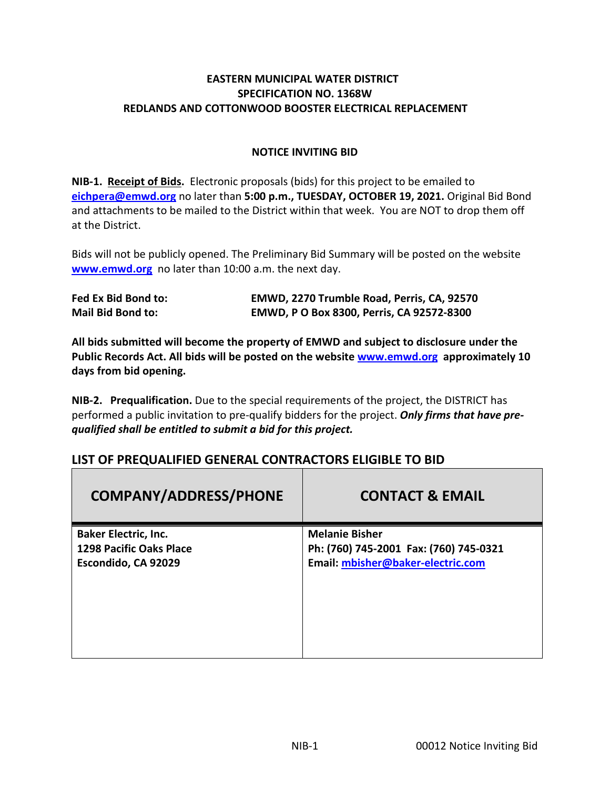#### **EASTERN MUNICIPAL WATER DISTRICT SPECIFICATION NO. 1368W REDLANDS AND COTTONWOOD BOOSTER ELECTRICAL REPLACEMENT**

#### **NOTICE INVITING BID**

**NIB-1. Receipt of Bids.** Electronic proposals (bids) for this project to be emailed to **eichpera@emwd.org** no later than **5:00 p.m., TUESDAY, OCTOBER 19, 2021.** Original Bid Bond and attachments to be mailed to the District within that week. You are NOT to drop them off at the District.

Bids will not be publicly opened. The Preliminary Bid Summary will be posted on the website **[www.emwd.org](http://www.emwd.org/)** no later than 10:00 a.m. the next day.

| Fed Ex Bid Bond to:      | EMWD, 2270 Trumble Road, Perris, CA, 92570 |
|--------------------------|--------------------------------------------|
| <b>Mail Bid Bond to:</b> | EMWD, P O Box 8300, Perris, CA 92572-8300  |

**All bids submitted will become the property of EMWD and subject to disclosure under the Public Records Act. All bids will be posted on the websit[e www.emwd.org](http://www.emwd.org/) approximately 10 days from bid opening.**

**NIB-2. Prequalification.** Due to the special requirements of the project, the DISTRICT has performed a public invitation to pre-qualify bidders for the project. *Only firms that have prequalified shall be entitled to submit a bid for this project.*

| <b>COMPANY/ADDRESS/PHONE</b>   | <b>CONTACT &amp; EMAIL</b>             |
|--------------------------------|----------------------------------------|
| <b>Baker Electric, Inc.</b>    | <b>Melanie Bisher</b>                  |
| <b>1298 Pacific Oaks Place</b> | Ph: (760) 745-2001 Fax: (760) 745-0321 |
| Escondido, CA 92029            | Email: mbisher@baker-electric.com      |
|                                |                                        |
|                                |                                        |
|                                |                                        |
|                                |                                        |
|                                |                                        |
|                                |                                        |

## **LIST OF PREQUALIFIED GENERAL CONTRACTORS ELIGIBLE TO BID**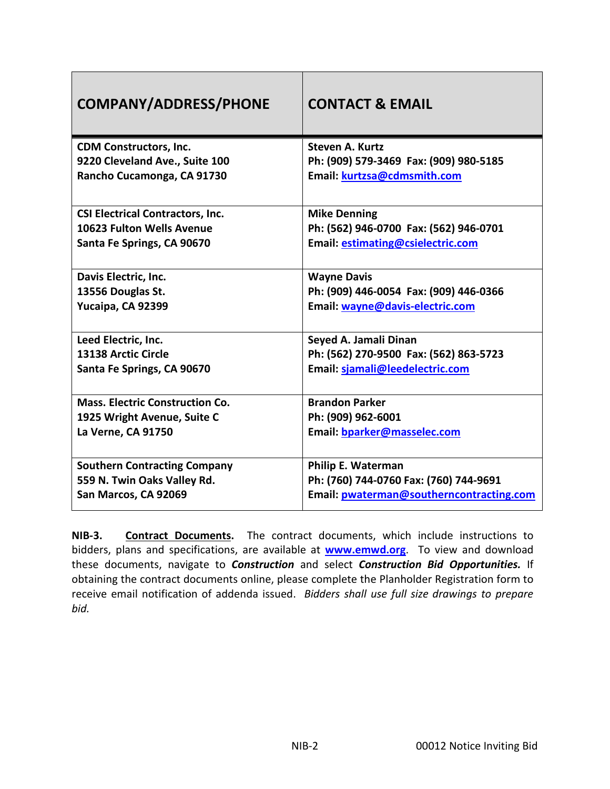| <b>COMPANY/ADDRESS/PHONE</b>                                 | <b>CONTACT &amp; EMAIL</b>                                            |
|--------------------------------------------------------------|-----------------------------------------------------------------------|
| <b>CDM Constructors, Inc.</b>                                | <b>Steven A. Kurtz</b>                                                |
| 9220 Cleveland Ave., Suite 100<br>Rancho Cucamonga, CA 91730 | Ph: (909) 579-3469 Fax: (909) 980-5185<br>Email: kurtzsa@cdmsmith.com |
|                                                              |                                                                       |
| <b>CSI Electrical Contractors, Inc.</b>                      | <b>Mike Denning</b>                                                   |
| 10623 Fulton Wells Avenue                                    | Ph: (562) 946-0700 Fax: (562) 946-0701                                |
| Santa Fe Springs, CA 90670                                   | Email: estimating@csielectric.com                                     |
| Davis Electric, Inc.                                         | <b>Wayne Davis</b>                                                    |
| 13556 Douglas St.                                            | Ph: (909) 446-0054 Fax: (909) 446-0366                                |
| Yucaipa, CA 92399                                            | Email: wayne@davis-electric.com                                       |
| Leed Electric, Inc.                                          | Seyed A. Jamali Dinan                                                 |
| 13138 Arctic Circle                                          | Ph: (562) 270-9500 Fax: (562) 863-5723                                |
| Santa Fe Springs, CA 90670                                   | Email: sjamali@leedelectric.com                                       |
| <b>Mass. Electric Construction Co.</b>                       | <b>Brandon Parker</b>                                                 |
| 1925 Wright Avenue, Suite C                                  | Ph: (909) 962-6001                                                    |
| La Verne, CA 91750                                           | Email: bparker@masselec.com                                           |
|                                                              |                                                                       |
| <b>Southern Contracting Company</b>                          | <b>Philip E. Waterman</b>                                             |
| 559 N. Twin Oaks Valley Rd.                                  | Ph: (760) 744-0760 Fax: (760) 744-9691                                |
| San Marcos, CA 92069                                         | Email: pwaterman@southerncontracting.com                              |

**NIB-3. Contract Documents.** The contract documents, which include instructions to bidders, plans and specifications, are available at **[www.emwd.org](http://www.emwd.org/)**. To view and download these documents, navigate to *Construction* and select *Construction Bid Opportunities.* If obtaining the contract documents online, please complete the Planholder Registration form to receive email notification of addenda issued. *Bidders shall use full size drawings to prepare bid.*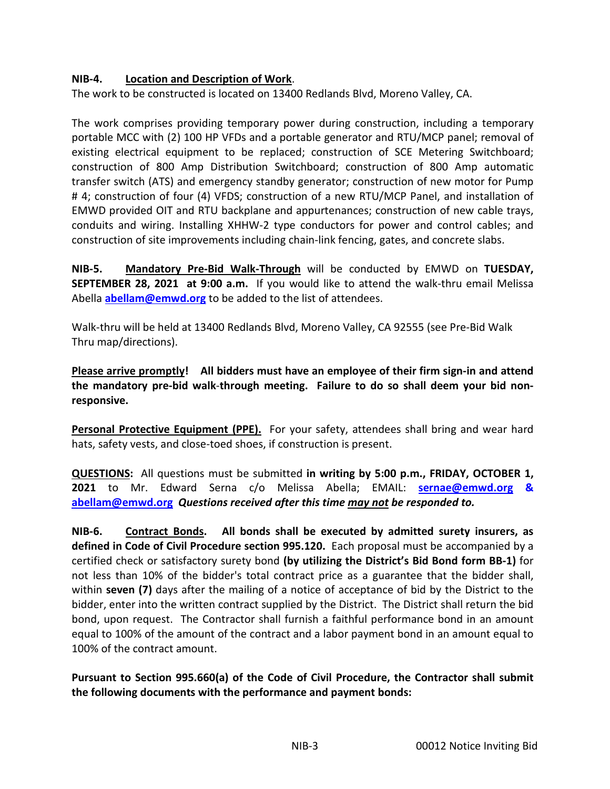#### **NIB-4. Location and Description of Work**.

The work to be constructed is located on 13400 Redlands Blvd, Moreno Valley, CA.

The work comprises providing temporary power during construction, including a temporary portable MCC with (2) 100 HP VFDs and a portable generator and RTU/MCP panel; removal of existing electrical equipment to be replaced; construction of SCE Metering Switchboard; construction of 800 Amp Distribution Switchboard; construction of 800 Amp automatic transfer switch (ATS) and emergency standby generator; construction of new motor for Pump # 4; construction of four (4) VFDS; construction of a new RTU/MCP Panel, and installation of EMWD provided OIT and RTU backplane and appurtenances; construction of new cable trays, conduits and wiring. Installing XHHW-2 type conductors for power and control cables; and construction of site improvements including chain-link fencing, gates, and concrete slabs.

**NIB-5. Mandatory Pre-Bid Walk-Through** will be conducted by EMWD on **TUESDAY, SEPTEMBER 28, 2021 at 9:00 a.m.** If you would like to attend the walk-thru email Melissa Abella **[abellam@emwd.org](mailto:abellam@emwd.org)** to be added to the list of attendees.

Walk-thru will be held at 13400 Redlands Blvd, Moreno Valley, CA 92555 (see Pre-Bid Walk Thru map/directions).

**Please arrive promptly! All bidders must have an employee of their firm sign-in and attend the mandatory pre-bid walk**-**through meeting. Failure to do so shall deem your bid nonresponsive.**

**Personal Protective Equipment (PPE).** For your safety, attendees shall bring and wear hard hats, safety vests, and close-toed shoes, if construction is present.

**QUESTIONS:** All questions must be submitted **in writing by 5:00 p.m., FRIDAY, OCTOBER 1, 2021** to Mr. Edward Serna c/o Melissa Abella; EMAIL: **[sernae@emwd.org](mailto:sernae@emwd.org) & [abellam@emwd.org](mailto:abellam@emwd.org)** *Questions received after this time may not be responded to.*

**NIB-6. Contract Bonds. All bonds shall be executed by admitted surety insurers, as defined in Code of Civil Procedure section 995.120.** Each proposal must be accompanied by a certified check or satisfactory surety bond **(by utilizing the District's Bid Bond form BB-1)** for not less than 10% of the bidder's total contract price as a guarantee that the bidder shall, within **seven (7)** days after the mailing of a notice of acceptance of bid by the District to the bidder, enter into the written contract supplied by the District. The District shall return the bid bond, upon request. The Contractor shall furnish a faithful performance bond in an amount equal to 100% of the amount of the contract and a labor payment bond in an amount equal to 100% of the contract amount.

**Pursuant to Section 995.660(a) of the Code of Civil Procedure, the Contractor shall submit the following documents with the performance and payment bonds:**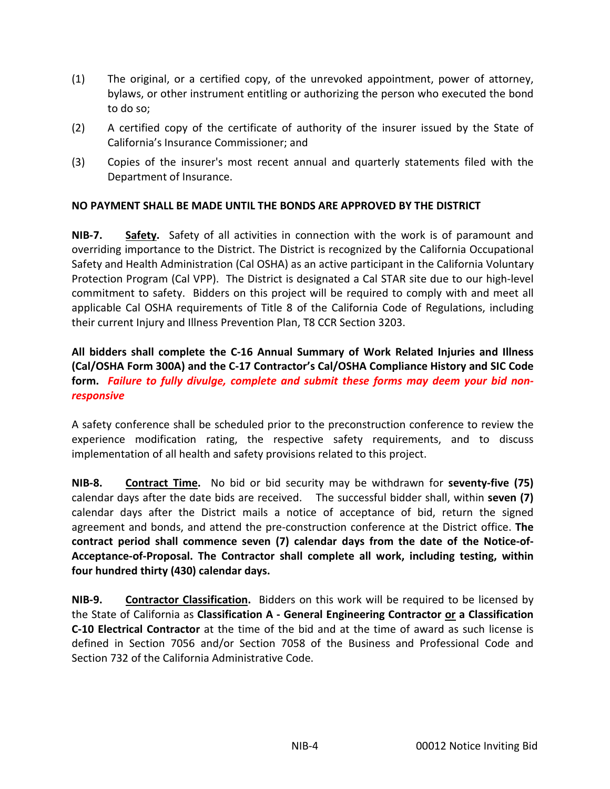- (1) The original, or a certified copy, of the unrevoked appointment, power of attorney, bylaws, or other instrument entitling or authorizing the person who executed the bond to do so;
- (2) A certified copy of the certificate of authority of the insurer issued by the State of California's Insurance Commissioner; and
- (3) Copies of the insurer's most recent annual and quarterly statements filed with the Department of Insurance.

#### **NO PAYMENT SHALL BE MADE UNTIL THE BONDS ARE APPROVED BY THE DISTRICT**

**NIB-7. Safety.** Safety of all activities in connection with the work is of paramount and overriding importance to the District. The District is recognized by the California Occupational Safety and Health Administration (Cal OSHA) as an active participant in the California Voluntary Protection Program (Cal VPP). The District is designated a Cal STAR site due to our high-level commitment to safety. Bidders on this project will be required to comply with and meet all applicable Cal OSHA requirements of Title 8 of the California Code of Regulations, including their current Injury and Illness Prevention Plan, T8 CCR Section 3203.

**All bidders shall complete the C-16 Annual Summary of Work Related Injuries and Illness (Cal/OSHA Form 300A) and the C-17 Contractor's Cal/OSHA Compliance History and SIC Code form.** *Failure to fully divulge, complete and submit these forms may deem your bid nonresponsive* 

A safety conference shall be scheduled prior to the preconstruction conference to review the experience modification rating, the respective safety requirements, and to discuss implementation of all health and safety provisions related to this project.

**NIB-8. Contract Time.** No bid or bid security may be withdrawn for **seventy-five (75)**  calendar days after the date bids are received. The successful bidder shall, within **seven (7)** calendar days after the District mails a notice of acceptance of bid, return the signed agreement and bonds, and attend the pre-construction conference at the District office. **The contract period shall commence seven (7) calendar days from the date of the Notice-of-Acceptance-of-Proposal. The Contractor shall complete all work, including testing, within four hundred thirty (430) calendar days.**

**NIB-9. Contractor Classification.** Bidders on this work will be required to be licensed by the State of California as **Classification A - General Engineering Contractor or a Classification C-10 Electrical Contractor** at the time of the bid and at the time of award as such license is defined in Section 7056 and/or Section 7058 of the Business and Professional Code and Section 732 of the California Administrative Code.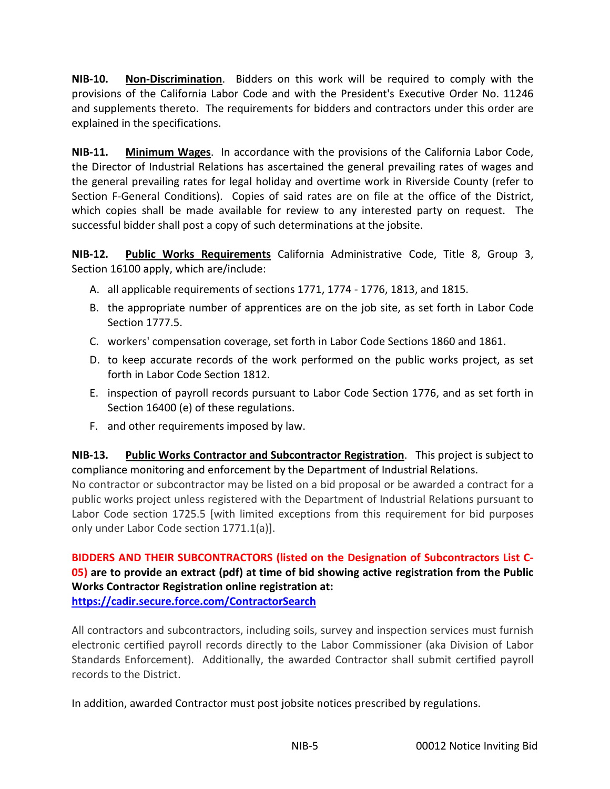**NIB-10. Non-Discrimination**. Bidders on this work will be required to comply with the provisions of the California Labor Code and with the President's Executive Order No. 11246 and supplements thereto. The requirements for bidders and contractors under this order are explained in the specifications.

**NIB-11. Minimum Wages**. In accordance with the provisions of the California Labor Code, the Director of Industrial Relations has ascertained the general prevailing rates of wages and the general prevailing rates for legal holiday and overtime work in Riverside County (refer to Section F-General Conditions). Copies of said rates are on file at the office of the District, which copies shall be made available for review to any interested party on request. The successful bidder shall post a copy of such determinations at the jobsite.

**NIB-12. Public Works Requirements** California Administrative Code, Title 8, Group 3, Section 16100 apply, which are/include:

- A. all applicable requirements of sections 1771, 1774 1776, 1813, and 1815.
- B. the appropriate number of apprentices are on the job site, as set forth in Labor Code Section 1777.5.
- C. workers' compensation coverage, set forth in Labor Code Sections 1860 and 1861.
- D. to keep accurate records of the work performed on the public works project, as set forth in Labor Code Section 1812.
- E. inspection of payroll records pursuant to Labor Code Section 1776, and as set forth in Section 16400 (e) of these regulations.
- F. and other requirements imposed by law.

**NIB-13. Public Works Contractor and Subcontractor Registration**. This project is subject to compliance monitoring and enforcement by the Department of Industrial Relations.

No contractor or subcontractor may be listed on a bid proposal or be awarded a contract for a public works project unless registered with the Department of Industrial Relations pursuant to Labor Code section 1725.5 [with limited exceptions from this requirement for bid purposes only under Labor Code section 1771.1(a)].

#### **BIDDERS AND THEIR SUBCONTRACTORS (listed on the Designation of Subcontractors List C-05) are to provide an extract (pdf) at time of bid showing active registration from the Public Works Contractor Registration online registration at: <https://cadir.secure.force.com/ContractorSearch>**

All contractors and subcontractors, including soils, survey and inspection services must furnish electronic certified payroll records directly to the Labor Commissioner (aka Division of Labor Standards Enforcement). Additionally, the awarded Contractor shall submit certified payroll records to the District.

In addition, awarded Contractor must post jobsite notices prescribed by regulations.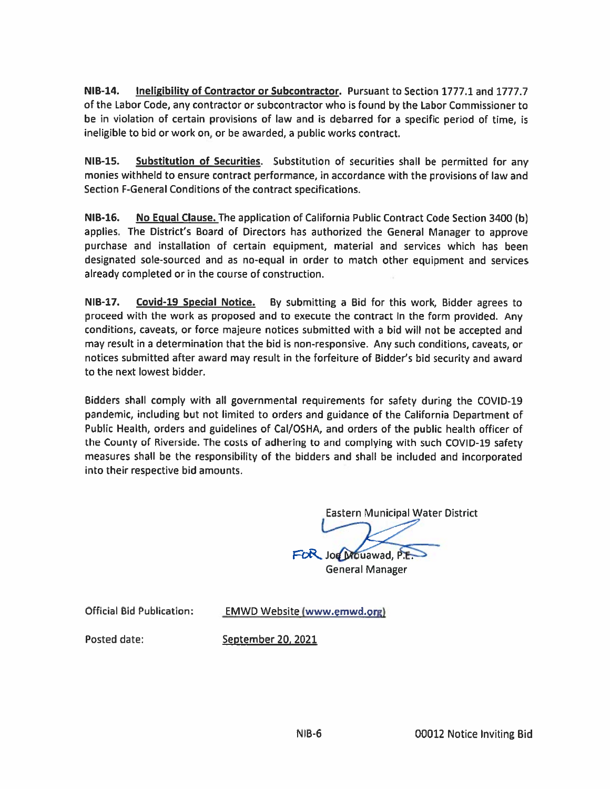**NIB-14.** Ineligibility of Contractor or Subcontractor. Pursuant to Section 1777.1 and 1777.7 of the Labor Code, any contractor or subcontractor who is found by the Labor Commissioner to be in violation of certain provisions of law and is debarred for a specific period of time, is ineligible to bid or work on, or be awarded, a public works contract.

**NIB-15.** Substitution of Securities. Substitution of securities shall be permitted for any monies withheld to ensure contract performance, in accordance with the provisions of law and Section F-General Conditions of the contract specifications.

**NIB-16.** No Equal Clause. The application of California Public Contract Code Section 3400 (b) applies. The District's Board of Directors has authorized the General Manager to approve purchase and installation of certain equipment, material and services which has been designated sole-sourced and as no-equal in order to match other equipment and services already completed or in the course of construction.

**NIB-17.** Covid-19 Special Notice. By submitting a Bid for this work, Bidder agrees to proceed with the work as proposed and to execute the contract in the form provided. Any conditions, caveats, or force majeure notices submitted with a bid will not be accepted and may result in a determination that the bid is non-responsive. Any such conditions, caveats, or notices submitted after award may result in the forfeiture of Bidder's bid security and award to the next lowest bidder.

Bidders shall comply with all governmental requirements for safety during the COVID-19 pandemic, including but not limited to orders and guidance of the California Department of Public Health, orders and guidelines of Cal/OSHA, and orders of the public health officer of the County of Riverside. The costs of adhering to and complying with such COVID-19 safety measures shall be the responsibility of the bidders and shall be included and incorporated into their respective bid amounts.

**Eastern Municipal Water District** 

FOR Joe Mouawad, P.E. **General Manager** 

**Official Bid Publication:** 

**EMWD Website (www.emwd.org)** 

Posted date:

September 20, 2021